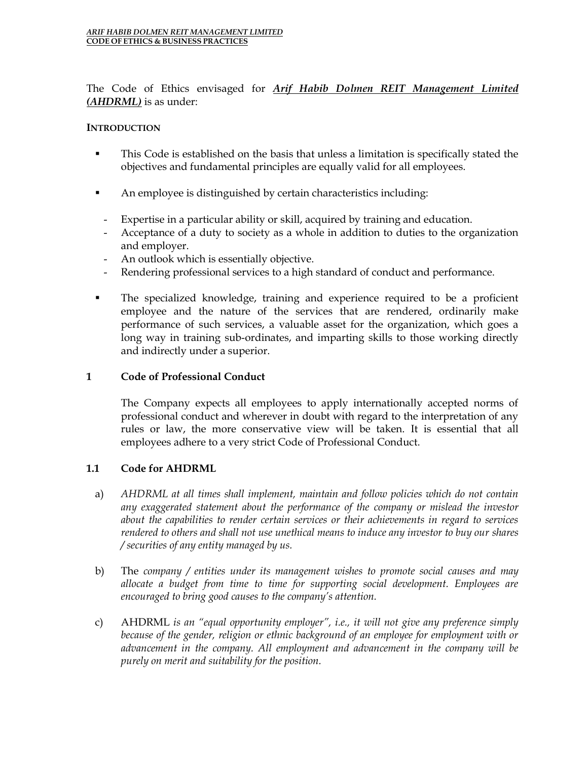The Code of Ethics envisaged for *Arif Habib Dolmen REIT Management Limited (AHDRML)* is as under:

### **INTRODUCTION**

- This Code is established on the basis that unless a limitation is specifically stated the objectives and fundamental principles are equally valid for all employees.
- An employee is distinguished by certain characteristics including:
	- Expertise in a particular ability or skill, acquired by training and education.
	- Acceptance of a duty to society as a whole in addition to duties to the organization and employer.
	- An outlook which is essentially objective.
	- Rendering professional services to a high standard of conduct and performance.
- The specialized knowledge, training and experience required to be a proficient employee and the nature of the services that are rendered, ordinarily make performance of such services, a valuable asset for the organization, which goes a long way in training sub-ordinates, and imparting skills to those working directly and indirectly under a superior.

## **1 Code of Professional Conduct**

The Company expects all employees to apply internationally accepted norms of professional conduct and wherever in doubt with regard to the interpretation of any rules or law, the more conservative view will be taken. It is essential that all employees adhere to a very strict Code of Professional Conduct.

### **1.1 Code for AHDRML**

- a) *AHDRML at all times shall implement, maintain and follow policies which do not contain any exaggerated statement about the performance of the company or mislead the investor about the capabilities to render certain services or their achievements in regard to services rendered to others and shall not use unethical means to induce any investor to buy our shares / securities of any entity managed by us.*
- b) The *company / entities under its management wishes to promote social causes and may allocate a budget from time to time for supporting social development. Employees are encouraged to bring good causes to the company's attention.*
- c) AHDRML *is an "equal opportunity employer", i.e., it will not give any preference simply because of the gender, religion or ethnic background of an employee for employment with or advancement in the company. All employment and advancement in the company will be purely on merit and suitability for the position.*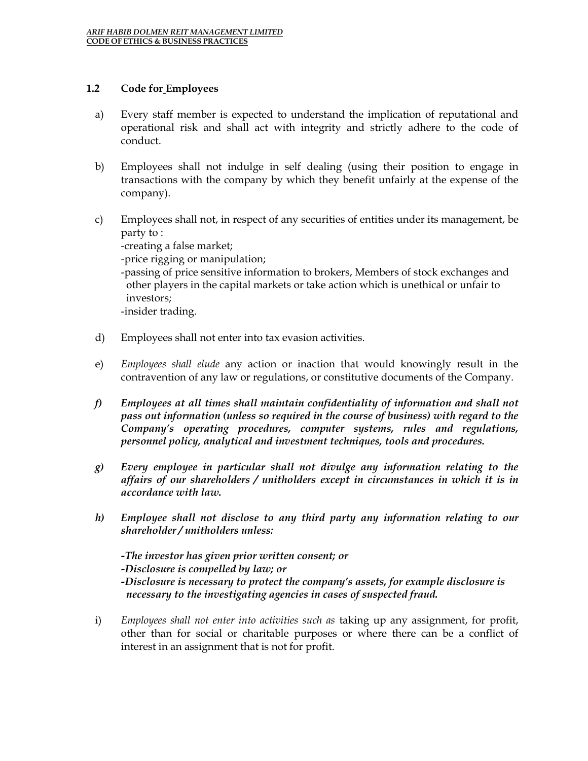#### **1.2 Code for Employees**

- a) Every staff member is expected to understand the implication of reputational and operational risk and shall act with integrity and strictly adhere to the code of conduct.
- b) Employees shall not indulge in self dealing (using their position to engage in transactions with the company by which they benefit unfairly at the expense of the company).
- c) Employees shall not, in respect of any securities of entities under its management, be party to : -creating a false market; -price rigging or manipulation; -passing of price sensitive information to brokers, Members of stock exchanges and other players in the capital markets or take action which is unethical or unfair to investors; -insider trading.
- d) Employees shall not enter into tax evasion activities.
- e) *Employees shall elude* any action or inaction that would knowingly result in the contravention of any law or regulations, or constitutive documents of the Company.
- *f) Employees at all times shall maintain confidentiality of information and shall not pass out information (unless so required in the course of business) with regard to the Company's operating procedures, computer systems, rules and regulations, personnel policy, analytical and investment techniques, tools and procedures.*
- *g) Every employee in particular shall not divulge any information relating to the affairs of our shareholders / unitholders except in circumstances in which it is in accordance with law.*
- *h) Employee shall not disclose to any third party any information relating to our shareholder / unitholders unless:*

*-The investor has given prior written consent; or -Disclosure is compelled by law; or -Disclosure is necessary to protect the company's assets, for example disclosure is necessary to the investigating agencies in cases of suspected fraud.*

i) *Employees shall not enter into activities such as* taking up any assignment, for profit, other than for social or charitable purposes or where there can be a conflict of interest in an assignment that is not for profit.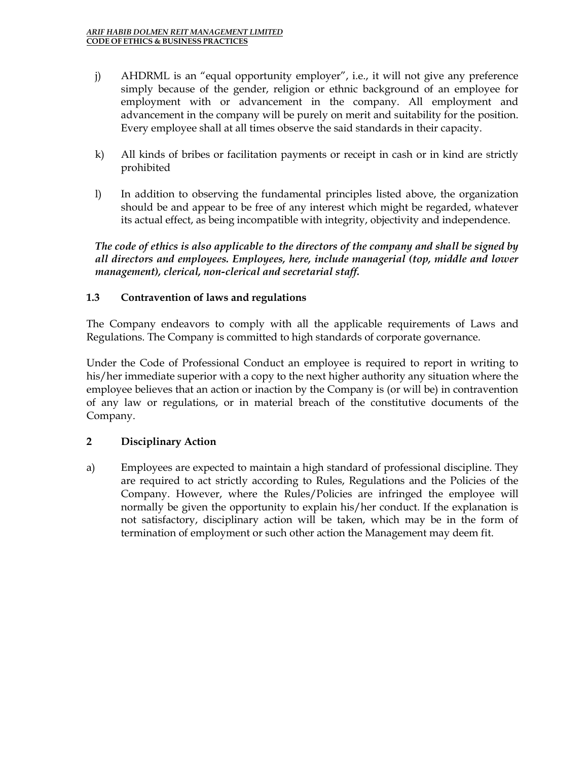- j) AHDRML is an "equal opportunity employer", i.e., it will not give any preference simply because of the gender, religion or ethnic background of an employee for employment with or advancement in the company. All employment and advancement in the company will be purely on merit and suitability for the position. Every employee shall at all times observe the said standards in their capacity.
- k) All kinds of bribes or facilitation payments or receipt in cash or in kind are strictly prohibited
- l) In addition to observing the fundamental principles listed above, the organization should be and appear to be free of any interest which might be regarded, whatever its actual effect, as being incompatible with integrity, objectivity and independence.

*The code of ethics is also applicable to the directors of the company and shall be signed by all directors and employees. Employees, here, include managerial (top, middle and lower management), clerical, non-clerical and secretarial staff.* 

# **1.3 Contravention of laws and regulations**

The Company endeavors to comply with all the applicable requirements of Laws and Regulations. The Company is committed to high standards of corporate governance.

Under the Code of Professional Conduct an employee is required to report in writing to his/her immediate superior with a copy to the next higher authority any situation where the employee believes that an action or inaction by the Company is (or will be) in contravention of any law or regulations, or in material breach of the constitutive documents of the Company.

### **2 Disciplinary Action**

a) Employees are expected to maintain a high standard of professional discipline. They are required to act strictly according to Rules, Regulations and the Policies of the Company. However, where the Rules/Policies are infringed the employee will normally be given the opportunity to explain his/her conduct. If the explanation is not satisfactory, disciplinary action will be taken, which may be in the form of termination of employment or such other action the Management may deem fit.